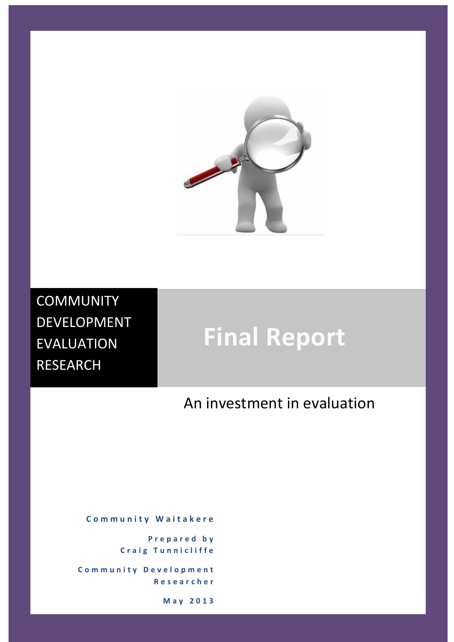

**COMMUNITY** DEVELOPMENT EVALUATION RESEARCH

# **Final Report**

# An investment in evaluation

**C o m m u n i t y W a i t a k e r e**

**P r e p a r e d b y Craig Tunnicliffe** 

**C o m m u n i t y D e v e l o p m e n t R e s e a r c h e r**

**May 2 0 1 3**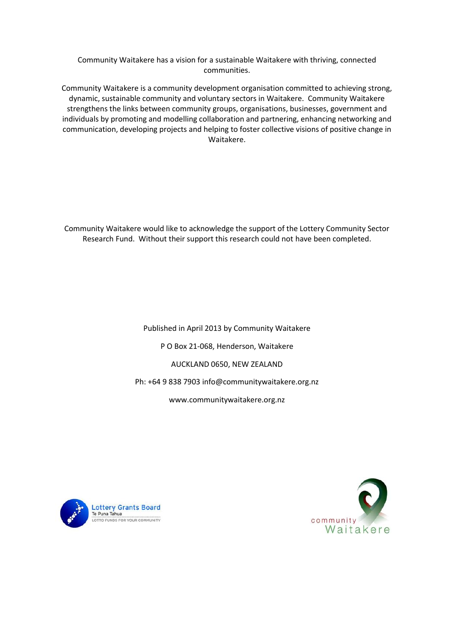Community Waitakere has a vision for a sustainable Waitakere with thriving, connected communities.

Community Waitakere is a community development organisation committed to achieving strong, dynamic, sustainable community and voluntary sectors in Waitakere. Community Waitakere strengthens the links between community groups, organisations, businesses, government and individuals by promoting and modelling collaboration and partnering, enhancing networking and communication, developing projects and helping to foster collective visions of positive change in Waitakere.

Community Waitakere would like to acknowledge the support of the Lottery Community Sector Research Fund. Without their support this research could not have been completed.

> Published in April 2013 by Community Waitakere P O Box 21-068, Henderson, Waitakere AUCKLAND 0650, NEW ZEALAND Ph: +64 9 838 7903 info@communitywaitakere.org.nz www.communitywaitakere.org.nz



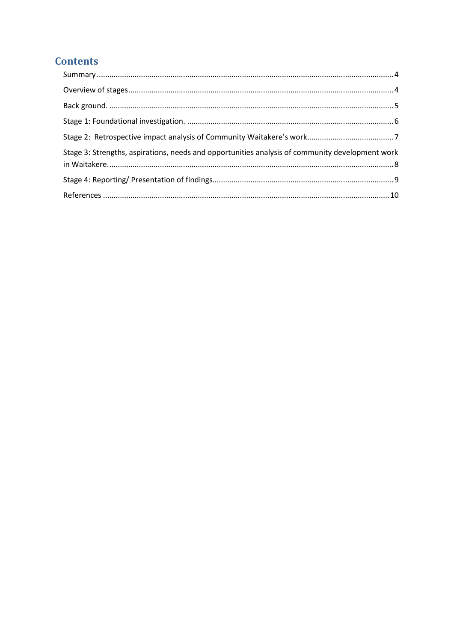# **Contents**

| Stage 3: Strengths, aspirations, needs and opportunities analysis of community development work |  |
|-------------------------------------------------------------------------------------------------|--|
|                                                                                                 |  |
|                                                                                                 |  |
|                                                                                                 |  |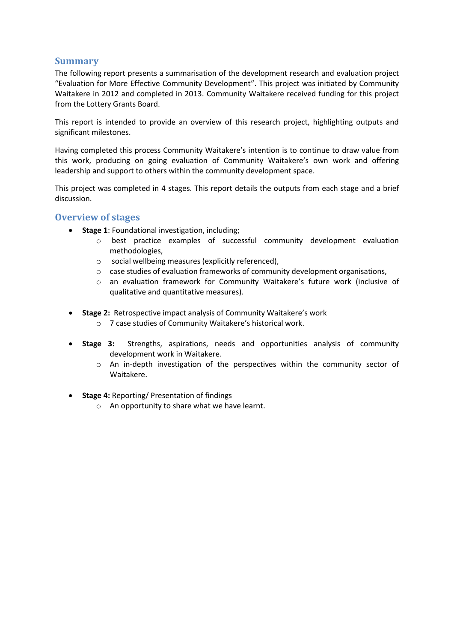### <span id="page-3-0"></span>**Summary**

The following report presents a summarisation of the development research and evaluation project "Evaluation for More Effective Community Development". This project was initiated by Community Waitakere in 2012 and completed in 2013. Community Waitakere received funding for this project from the Lottery Grants Board.

This report is intended to provide an overview of this research project, highlighting outputs and significant milestones.

Having completed this process Community Waitakere's intention is to continue to draw value from this work, producing on going evaluation of Community Waitakere's own work and offering leadership and support to others within the community development space.

This project was completed in 4 stages. This report details the outputs from each stage and a brief discussion.

#### <span id="page-3-1"></span>**Overview of stages**

- **Stage 1**: Foundational investigation, including;
	- o best practice examples of successful community development evaluation methodologies,
	- o social wellbeing measures (explicitly referenced),
	- $\circ$  case studies of evaluation frameworks of community development organisations,
	- o an evaluation framework for Community Waitakere's future work (inclusive of qualitative and quantitative measures).
- **Stage 2:** Retrospective impact analysis of Community Waitakere's work
	- o 7 case studies of Community Waitakere's historical work.
- **Stage 3:** Strengths, aspirations, needs and opportunities analysis of community development work in Waitakere.
	- o An in-depth investigation of the perspectives within the community sector of Waitakere.
- **Stage 4:** Reporting/ Presentation of findings
	- o An opportunity to share what we have learnt.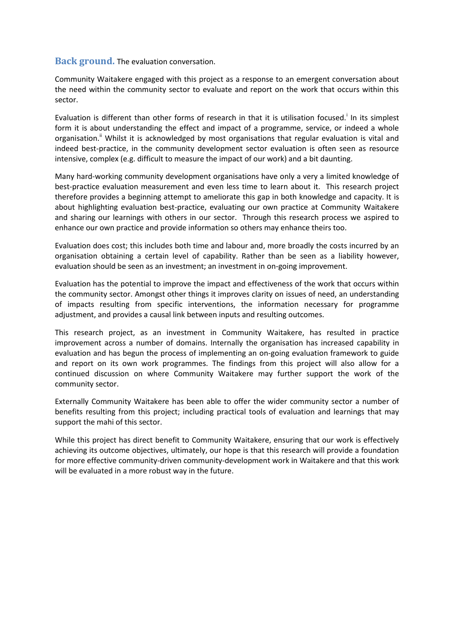#### <span id="page-4-0"></span>**Back ground.** The evaluation conversation.

Community Waitakere engaged with this project as a response to an emergent conversation about the need within the community sector to evaluate and report on the work that occurs within this sector.

Evaluation is different than other forms of research in that it is utilisation focused.<sup>i</sup> In its simplest form it is about understanding the effect and impact of a programme, service, or indeed a whole organisation.<sup>"</sup> Whilst it is acknowledged by most organisations that regular evaluation is vital and indeed best-practice, in the community development sector evaluation is often seen as resource intensive, complex (e.g. difficult to measure the impact of our work) and a bit daunting.

Many hard-working community development organisations have only a very a limited knowledge of best-practice evaluation measurement and even less time to learn about it. This research project therefore provides a beginning attempt to ameliorate this gap in both knowledge and capacity. It is about highlighting evaluation best-practice, evaluating our own practice at Community Waitakere and sharing our learnings with others in our sector. Through this research process we aspired to enhance our own practice and provide information so others may enhance theirs too.

Evaluation does cost; this includes both time and labour and, more broadly the costs incurred by an organisation obtaining a certain level of capability. Rather than be seen as a liability however, evaluation should be seen as an investment; an investment in on-going improvement.

Evaluation has the potential to improve the impact and effectiveness of the work that occurs within the community sector. Amongst other things it improves clarity on issues of need, an understanding of impacts resulting from specific interventions, the information necessary for programme adjustment, and provides a causal link between inputs and resulting outcomes.

This research project, as an investment in Community Waitakere, has resulted in practice improvement across a number of domains. Internally the organisation has increased capability in evaluation and has begun the process of implementing an on-going evaluation framework to guide and report on its own work programmes. The findings from this project will also allow for a continued discussion on where Community Waitakere may further support the work of the community sector.

Externally Community Waitakere has been able to offer the wider community sector a number of benefits resulting from this project; including practical tools of evaluation and learnings that may support the mahi of this sector.

While this project has direct benefit to Community Waitakere, ensuring that our work is effectively achieving its outcome objectives, ultimately, our hope is that this research will provide a foundation for more effective community-driven community-development work in Waitakere and that this work will be evaluated in a more robust way in the future.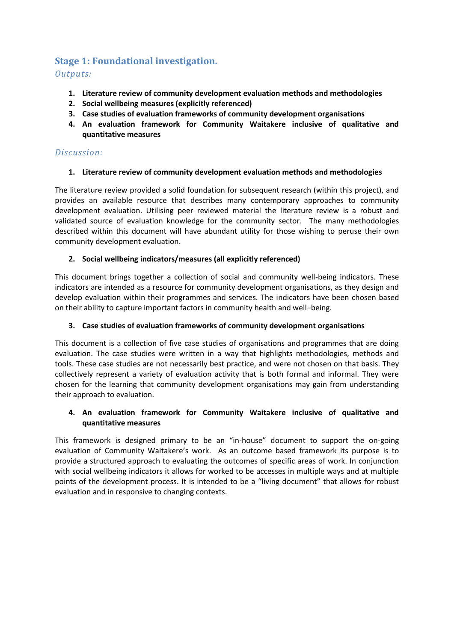# <span id="page-5-0"></span>**Stage 1: Foundational investigation.**

*Outputs:* 

- **1. Literature review of community development evaluation methods and methodologies**
- **2. Social wellbeing measures (explicitly referenced)**
- **3. Case studies of evaluation frameworks of community development organisations**
- **4. An evaluation framework for Community Waitakere inclusive of qualitative and quantitative measures**

#### *Discussion:*

#### **1. Literature review of community development evaluation methods and methodologies**

The literature review provided a solid foundation for subsequent research (within this project), and provides an available resource that describes many contemporary approaches to community development evaluation. Utilising peer reviewed material the literature review is a robust and validated source of evaluation knowledge for the community sector. The many methodologies described within this document will have abundant utility for those wishing to peruse their own community development evaluation.

#### **2. Social wellbeing indicators/measures (all explicitly referenced)**

This document brings together a collection of social and community well-being indicators. These indicators are intended as a resource for community development organisations, as they design and develop evaluation within their programmes and services. The indicators have been chosen based on their ability to capture important factors in community health and well–being.

#### **3. Case studies of evaluation frameworks of community development organisations**

This document is a collection of five case studies of organisations and programmes that are doing evaluation. The case studies were written in a way that highlights methodologies, methods and tools. These case studies are not necessarily best practice, and were not chosen on that basis. They collectively represent a variety of evaluation activity that is both formal and informal. They were chosen for the learning that community development organisations may gain from understanding their approach to evaluation.

#### **4. An evaluation framework for Community Waitakere inclusive of qualitative and quantitative measures**

This framework is designed primary to be an "in-house" document to support the on-going evaluation of Community Waitakere's work. As an outcome based framework its purpose is to provide a structured approach to evaluating the outcomes of specific areas of work. In conjunction with social wellbeing indicators it allows for worked to be accesses in multiple ways and at multiple points of the development process. It is intended to be a "living document" that allows for robust evaluation and in responsive to changing contexts.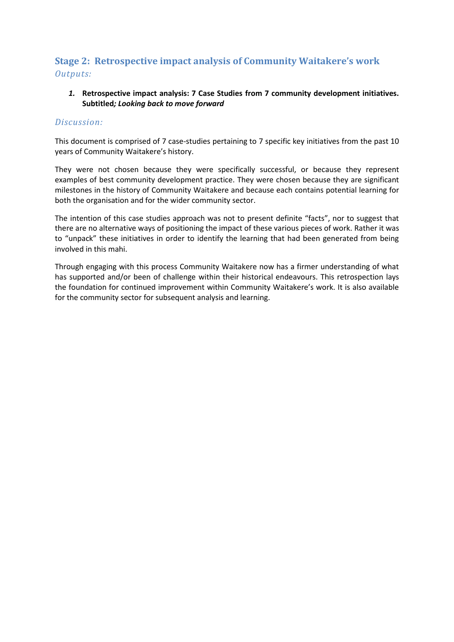# <span id="page-6-0"></span>**Stage 2: Retrospective impact analysis of Community Waitakere's work** *Outputs:*

#### *1.* **Retrospective impact analysis: 7 Case Studies from 7 community development initiatives. Subtitled***; Looking back to move forward*

#### *Discussion:*

This document is comprised of 7 case-studies pertaining to 7 specific key initiatives from the past 10 years of Community Waitakere's history.

They were not chosen because they were specifically successful, or because they represent examples of best community development practice. They were chosen because they are significant milestones in the history of Community Waitakere and because each contains potential learning for both the organisation and for the wider community sector.

The intention of this case studies approach was not to present definite "facts", nor to suggest that there are no alternative ways of positioning the impact of these various pieces of work. Rather it was to "unpack" these initiatives in order to identify the learning that had been generated from being involved in this mahi.

Through engaging with this process Community Waitakere now has a firmer understanding of what has supported and/or been of challenge within their historical endeavours. This retrospection lays the foundation for continued improvement within Community Waitakere's work. It is also available for the community sector for subsequent analysis and learning.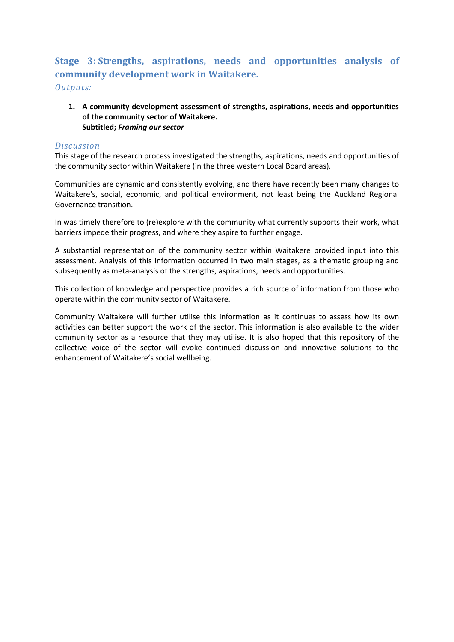# <span id="page-7-0"></span>**Stage 3: Strengths, aspirations, needs and opportunities analysis of community development work in Waitakere.** *Outputs:*

#### **1. A community development assessment of strengths, aspirations, needs and opportunities of the community sector of Waitakere. Subtitled;** *Framing our sector*

#### *Discussion*

This stage of the research process investigated the strengths, aspirations, needs and opportunities of the community sector within Waitakere (in the three western Local Board areas).

Communities are dynamic and consistently evolving, and there have recently been many changes to Waitakere's, social, economic, and political environment, not least being the Auckland Regional Governance transition.

In was timely therefore to (re)explore with the community what currently supports their work, what barriers impede their progress, and where they aspire to further engage.

A substantial representation of the community sector within Waitakere provided input into this assessment. Analysis of this information occurred in two main stages, as a thematic grouping and subsequently as meta-analysis of the strengths, aspirations, needs and opportunities.

This collection of knowledge and perspective provides a rich source of information from those who operate within the community sector of Waitakere.

Community Waitakere will further utilise this information as it continues to assess how its own activities can better support the work of the sector. This information is also available to the wider community sector as a resource that they may utilise. It is also hoped that this repository of the collective voice of the sector will evoke continued discussion and innovative solutions to the enhancement of Waitakere's social wellbeing.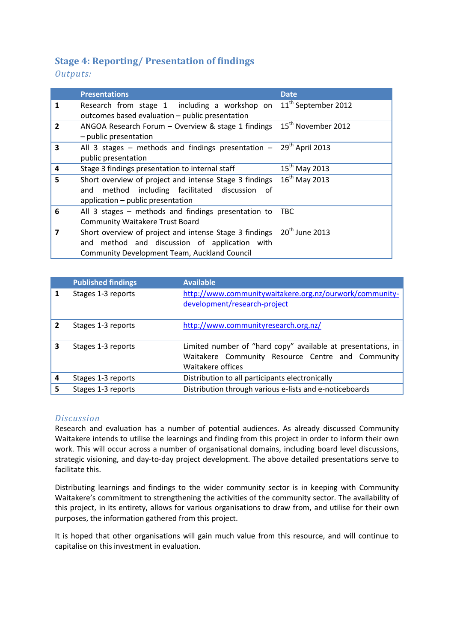# <span id="page-8-0"></span>**Stage 4: Reporting/ Presentation of findings**

*Outputs:* 

|                         | <b>Presentations</b>                                                                                                                                           | <b>Date</b>                     |
|-------------------------|----------------------------------------------------------------------------------------------------------------------------------------------------------------|---------------------------------|
| 1                       | Research from stage 1 including a workshop on<br>outcomes based evaluation - public presentation                                                               | 11 <sup>th</sup> September 2012 |
| $\overline{2}$          | ANGOA Research Forum - Overview & stage 1 findings<br>- public presentation                                                                                    | 15 <sup>th</sup> November 2012  |
| 3                       | All 3 stages – methods and findings presentation – $29th$ April 2013<br>public presentation                                                                    |                                 |
| 4                       | Stage 3 findings presentation to internal staff                                                                                                                | $15^{th}$ May 2013              |
| 5                       | Short overview of project and intense Stage 3 findings<br>method including facilitated discussion of<br>and<br>application - public presentation               | $16^{th}$ May 2013              |
| 6                       | All 3 stages - methods and findings presentation to<br><b>Community Waitakere Trust Board</b>                                                                  | <b>TBC</b>                      |
| $\overline{\mathbf{z}}$ | Short overview of project and intense Stage 3 findings<br>and method and discussion of application with<br><b>Community Development Team, Auckland Council</b> | $20th$ June 2013                |

|   | <b>Published findings</b> | <b>Available</b>                                                                                                                       |
|---|---------------------------|----------------------------------------------------------------------------------------------------------------------------------------|
|   | Stages 1-3 reports        | http://www.communitywaitakere.org.nz/ourwork/community-<br>development/research-project                                                |
| 2 | Stages 1-3 reports        | http://www.communityresearch.org.nz/                                                                                                   |
| 3 | Stages 1-3 reports        | Limited number of "hard copy" available at presentations, in<br>Waitakere Community Resource Centre and Community<br>Waitakere offices |
| 4 | Stages 1-3 reports        | Distribution to all participants electronically                                                                                        |
| 5 | Stages 1-3 reports        | Distribution through various e-lists and e-noticeboards                                                                                |

#### *Discussion*

Research and evaluation has a number of potential audiences. As already discussed Community Waitakere intends to utilise the learnings and finding from this project in order to inform their own work. This will occur across a number of organisational domains, including board level discussions, strategic visioning, and day-to-day project development. The above detailed presentations serve to facilitate this.

Distributing learnings and findings to the wider community sector is in keeping with Community Waitakere's commitment to strengthening the activities of the community sector. The availability of this project, in its entirety, allows for various organisations to draw from, and utilise for their own purposes, the information gathered from this project.

It is hoped that other organisations will gain much value from this resource, and will continue to capitalise on this investment in evaluation.